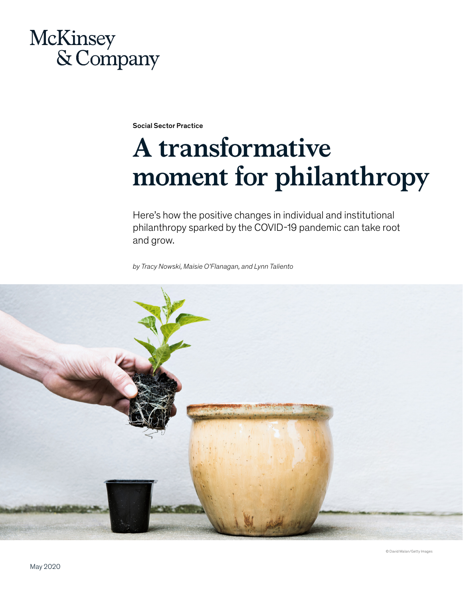## McKinsey & Company

Social Sector Practice

# **A transformative moment for philanthropy**

Here's how the positive changes in individual and institutional philanthropy sparked by the COVID-19 pandemic can take root and grow.

*by Tracy Nowski, Maisie O'Flanagan, and Lynn Taliento*



© David Malan/Getty Images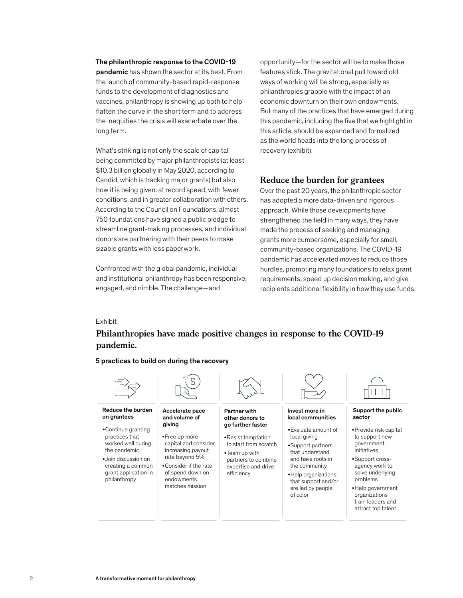#### The philanthropic response to the COVID-19

pandemic has shown the sector at its best. From the launch of community-based rapid-response funds to the development of diagnostics and vaccines, philanthropy is showing up both to help flatten the curve in the short term and to address the inequities the crisis will exacerbate over the long term.

sizable grants with less paperwork. What's striking is not only the scale of capital being committed by major philanthropists (at least \$10.3 billion globally in May 2020, according to Candid, which is tracking major grants) but also how it is being given: at record speed, with fewer conditions, and in greater collaboration with others. According to the Council on Foundations, almost 750 foundations have signed a public pledge to streamline grant-making processes, and individual donors are partnering with their peers to make

Confronted with the global pandemic, individual and institutional philanthropy has been responsive, engaged, and nimble. The challenge—and

opportunity—for the sector will be to make those features stick. The gravitational pull toward old ways of working will be strong, especially as philanthropies grapple with the impact of an economic downturn on their own endowments. But many of the practices that have emerged during this pandemic, including the five that we highlight in this article, should be expanded and formalized as the world heads into the long process of recovery (exhibit).

### **Reduce the burden for grantees**

Over the past 20 years, the philanthropic sector has adopted a more data-driven and rigorous approach. While those developments have strengthened the field in many ways, they have made the process of seeking and managing grants more cumbersome, especially for small, community-based organizations. The COVID-19 pandemic has accelerated moves to reduce those hurdles, prompting many foundations to relax grant requirements, speed up decision making, and give recipients additional flexibility in how they use funds.

### Exhibit

### **Philanthropies have made positive changes in response to the COVID-19 pandemic.**

5 practices to build on during the recovery

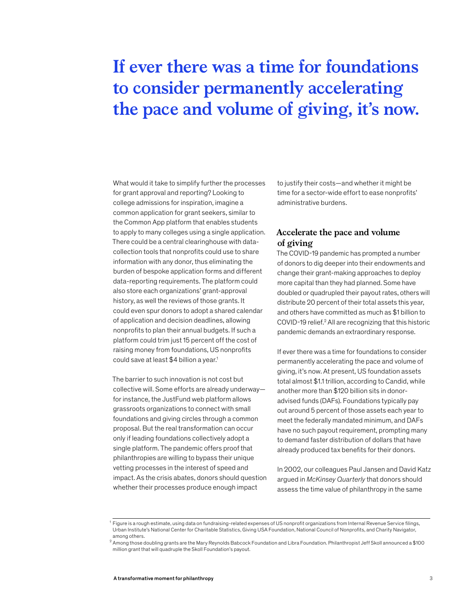### **If ever there was a time for foundations to consider permanently accelerating the pace and volume of giving, it's now.**

What would it take to simplify further the processes for grant approval and reporting? Looking to college admissions for inspiration, imagine a common application for grant seekers, similar to the Common App platform that enables students to apply to many colleges using a single application. There could be a central clearinghouse with datacollection tools that nonprofits could use to share information with any donor, thus eliminating the burden of bespoke application forms and different data-reporting requirements. The platform could also store each organizations' grant-approval history, as well the reviews of those grants. It could even spur donors to adopt a shared calendar of application and decision deadlines, allowing nonprofits to plan their annual budgets. If such a platform could trim just 15 percent off the cost of raising money from foundations, US nonprofits could save at least \$4 billion a year.<sup>1</sup>

The barrier to such innovation is not cost but collective will. Some efforts are already underway for instance, the JustFund web platform allows grassroots organizations to connect with small foundations and giving circles through a common proposal. But the real transformation can occur only if leading foundations collectively adopt a single platform. The pandemic offers proof that philanthropies are willing to bypass their unique vetting processes in the interest of speed and impact. As the crisis abates, donors should question whether their processes produce enough impact

to justify their costs—and whether it might be time for a sector-wide effort to ease nonprofits' administrative burdens.

### **Accelerate the pace and volume of giving**

The COVID-19 pandemic has prompted a number of donors to dig deeper into their endowments and change their grant-making approaches to deploy more capital than they had planned. Some have doubled or quadrupled their payout rates, others will distribute 20 percent of their total assets this year, and others have committed as much as \$1 billion to COVID-19 relief.<sup>2</sup> All are recognizing that this historic pandemic demands an extraordinary response.

If ever there was a time for foundations to consider permanently accelerating the pace and volume of giving, it's now. At present, US foundation assets total almost \$1.1 trillion, according to Candid, while another more than \$120 billion sits in donoradvised funds (DAFs). Foundations typically pay out around 5 percent of those assets each year to meet the federally mandated minimum, and DAFs have no such payout requirement, prompting many to demand faster distribution of dollars that have already produced tax benefits for their donors.

In 2002, our colleagues Paul Jansen and David Katz argued in *McKinsey Quarterly* that donors should assess the time value of philanthropy in the same

 $^{\rm 1}$  Figure is a rough estimate, using data on fundraising-related expenses of US nonprofit organizations from Internal Revenue Service filings, Urban Institute's National Center for Charitable Statistics, Giving USA Foundation, National Council of Nonprofits, and Charity Navigator, among others.

 $^2$  Among those doubling grants are the Mary Reynolds Babcock Foundation and Libra Foundation. Philanthropist Jeff Skoll announced a \$100  $\,$ million grant that will quadruple the Skoll Foundation's payout.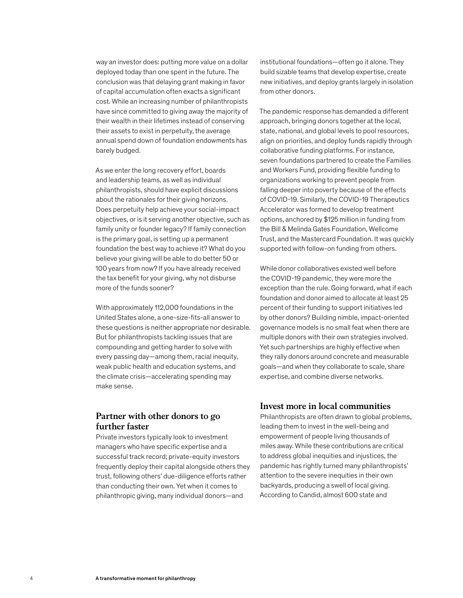way an investor does: putting more value on a dollar deployed today than one spent in the future. The conclusion was that delaying grant making in favor of capital accumulation often exacts a significant cost. While an increasing number of philanthropists have since committed to giving away the majority of their wealth in their lifetimes instead of conserving their assets to exist in perpetuity, the average annual spend down of foundation endowments has barely budged.

As we enter the long recovery effort, boards and leadership teams, as well as individual philanthropists, should have explicit discussions about the rationales for their giving horizons. Does perpetuity help achieve your social-impact objectives, or is it serving another objective, such as family unity or founder legacy? If family connection is the primary goal, is setting up a permanent foundation the best way to achieve it? What do you believe your giving will be able to do better 50 or 100 years from now? If you have already received the tax benefit for your giving, why not disburse more of the funds sooner?

With approximately 112,000 foundations in the United States alone, a one-size-fits-all answer to these questions is neither appropriate nor desirable. But for philanthropists tackling issues that are compounding and getting harder to solve with every passing day—among them, racial inequity, weak public health and education systems, and the climate crisis—accelerating spending may make sense.

### **Partner with other donors to go further faster**

Private investors typically look to investment managers who have specific expertise and a successful track record; private-equity investors frequently deploy their capital alongside others they trust, following others' due-diligence efforts rather than conducting their own. Yet when it comes to philanthropic giving, many individual donors—and

institutional foundations—often go it alone. They build sizable teams that develop expertise, create new initiatives, and deploy grants largely in isolation from other donors.

The pandemic response has demanded a different approach, bringing donors together at the local, state, national, and global levels to pool resources, align on priorities, and deploy funds rapidly through collaborative funding platforms. For instance, seven foundations partnered to create the Families and Workers Fund, providing flexible funding to organizations working to prevent people from falling deeper into poverty because of the effects of COVID-19. Similarly, the COVID-19 Therapeutics Accelerator was formed to develop treatment options, anchored by \$125 million in funding from the Bill & Melinda Gates Foundation, Wellcome Trust, and the Mastercard Foundation. It was quickly supported with follow-on funding from others.

While donor collaboratives existed well before the COVID-19 pandemic, they were more the exception than the rule. Going forward, what if each foundation and donor aimed to allocate at least 25 percent of their funding to support initiatives led by other donors? Building nimble, impact-oriented governance models is no small feat when there are multiple donors with their own strategies involved. Yet such partnerships are highly effective when they rally donors around concrete and measurable goals—and when they collaborate to scale, share expertise, and combine diverse networks.

### **Invest more in local communities**

Philanthropists are often drawn to global problems, leading them to invest in the well-being and empowerment of people living thousands of miles away. While these contributions are critical to address global inequities and injustices, the pandemic has rightly turned many philanthropists' attention to the severe inequities in their own backyards, producing a swell of local giving. According to Candid, almost 600 state and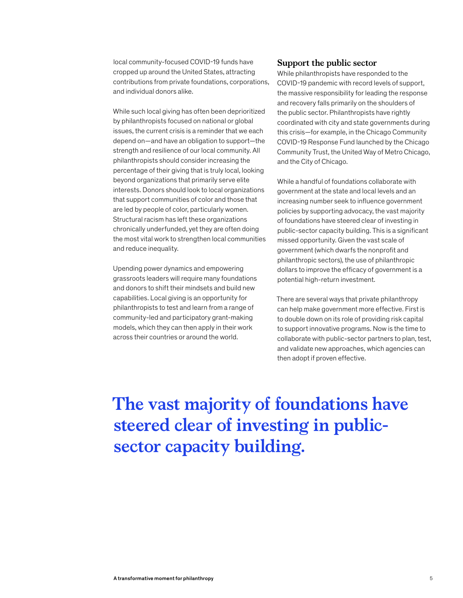local community-focused COVID-19 funds have cropped up around the United States, attracting contributions from private foundations, corporations, and individual donors alike.

While such local giving has often been deprioritized by philanthropists focused on national or global issues, the current crisis is a reminder that we each depend on—and have an obligation to support—the strength and resilience of our local community. All philanthropists should consider increasing the percentage of their giving that is truly local, looking beyond organizations that primarily serve elite interests. Donors should look to local organizations that support communities of color and those that are led by people of color, particularly women. Structural racism has left these organizations chronically underfunded, yet they are often doing the most vital work to strengthen local communities and reduce inequality.

Upending power dynamics and empowering grassroots leaders will require many foundations and donors to shift their mindsets and build new capabilities. Local giving is an opportunity for philanthropists to test and learn from a range of community-led and participatory grant-making models, which they can then apply in their work across their countries or around the world.

### **Support the public sector**

While philanthropists have responded to the COVID-19 pandemic with record levels of support, the massive responsibility for leading the response and recovery falls primarily on the shoulders of the public sector. Philanthropists have rightly coordinated with city and state governments during this crisis—for example, in the Chicago Community COVID-19 Response Fund launched by the Chicago Community Trust, the United Way of Metro Chicago, and the City of Chicago.

While a handful of foundations collaborate with government at the state and local levels and an increasing number seek to influence government policies by supporting advocacy, the vast majority of foundations have steered clear of investing in public-sector capacity building. This is a significant missed opportunity. Given the vast scale of government (which dwarfs the nonprofit and philanthropic sectors), the use of philanthropic dollars to improve the efficacy of government is a potential high-return investment.

There are several ways that private philanthropy can help make government more effective. First is to double down on its role of providing risk capital to support innovative programs. Now is the time to collaborate with public-sector partners to plan, test, and validate new approaches, which agencies can then adopt if proven effective.

**The vast majority of foundations have steered clear of investing in publicsector capacity building.**